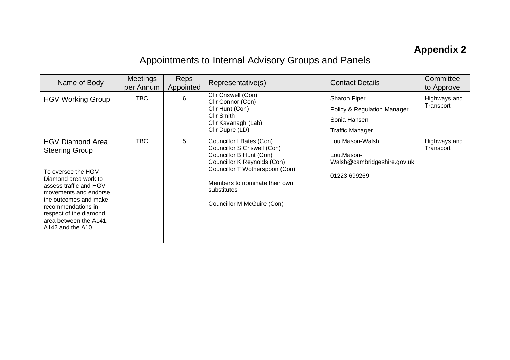## **Appendix 2**

## Appointments to Internal Advisory Groups and Panels

| Name of Body                                                                                                                                                                                                                                                                   | <b>Meetings</b><br>per Annum | Reps<br>Appointed | Representative(s)                                                                                                                                                                                                                 | <b>Contact Details</b>                                                                | Committee<br>to Approve   |
|--------------------------------------------------------------------------------------------------------------------------------------------------------------------------------------------------------------------------------------------------------------------------------|------------------------------|-------------------|-----------------------------------------------------------------------------------------------------------------------------------------------------------------------------------------------------------------------------------|---------------------------------------------------------------------------------------|---------------------------|
| <b>HGV Working Group</b>                                                                                                                                                                                                                                                       | TBC.                         | 6                 | Cllr Criswell (Con)<br>Cllr Connor (Con)<br>Cllr Hunt (Con)<br>Cllr Smith<br>Cllr Kavanagh (Lab)<br>Cllr Dupre (LD)                                                                                                               | Sharon Piper<br>Policy & Regulation Manager<br>Sonia Hansen<br><b>Traffic Manager</b> | Highways and<br>Transport |
| <b>HGV Diamond Area</b><br><b>Steering Group</b><br>To oversee the HGV<br>Diamond area work to<br>assess traffic and HGV<br>movements and endorse<br>the outcomes and make<br>recommendations in<br>respect of the diamond<br>area between the A141,<br>$A142$ and the $A10$ . | <b>TBC</b>                   | 5                 | Councillor I Bates (Con)<br>Councillor S Criswell (Con)<br>Councillor B Hunt (Con)<br>Councillor K Reynolds (Con)<br>Councillor T Wotherspoon (Con)<br>Members to nominate their own<br>substitutes<br>Councillor M McGuire (Con) | Lou Mason-Walsh<br>Lou.Mason-<br>Walsh@cambridgeshire.gov.uk<br>01223 699269          | Highways and<br>Transport |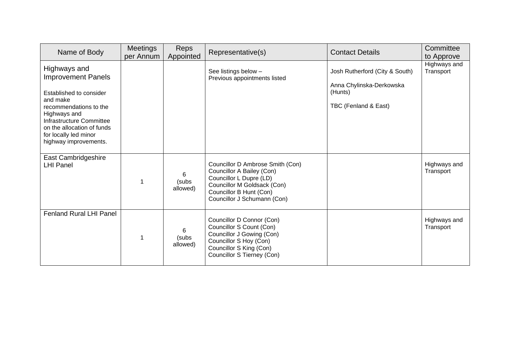| Name of Body                                                                                                                                                                                                                           | <b>Meetings</b><br>per Annum | Reps<br>Appointed      | Representative(s)                                                                                                                                                                 | <b>Contact Details</b>                                                                        | Committee<br>to Approve   |
|----------------------------------------------------------------------------------------------------------------------------------------------------------------------------------------------------------------------------------------|------------------------------|------------------------|-----------------------------------------------------------------------------------------------------------------------------------------------------------------------------------|-----------------------------------------------------------------------------------------------|---------------------------|
| Highways and<br><b>Improvement Panels</b><br>Established to consider<br>and make<br>recommendations to the<br>Highways and<br>Infrastructure Committee<br>on the allocation of funds<br>for locally led minor<br>highway improvements. |                              |                        | See listings below -<br>Previous appointments listed                                                                                                                              | Josh Rutherford (City & South)<br>Anna Chylinska-Derkowska<br>(Hunts)<br>TBC (Fenland & East) | Highways and<br>Transport |
| East Cambridgeshire<br><b>LHI Panel</b>                                                                                                                                                                                                |                              | 6<br>(subs<br>allowed) | Councillor D Ambrose Smith (Con)<br>Councillor A Bailey (Con)<br>Councillor L Dupre (LD)<br>Councillor M Goldsack (Con)<br>Councillor B Hunt (Con)<br>Councillor J Schumann (Con) |                                                                                               | Highways and<br>Transport |
| <b>Fenland Rural LHI Panel</b>                                                                                                                                                                                                         |                              | 6<br>(subs<br>allowed) | Councillor D Connor (Con)<br>Councillor S Count (Con)<br>Councillor J Gowing (Con)<br>Councillor S Hoy (Con)<br>Councillor S King (Con)<br>Councillor S Tierney (Con)             |                                                                                               | Highways and<br>Transport |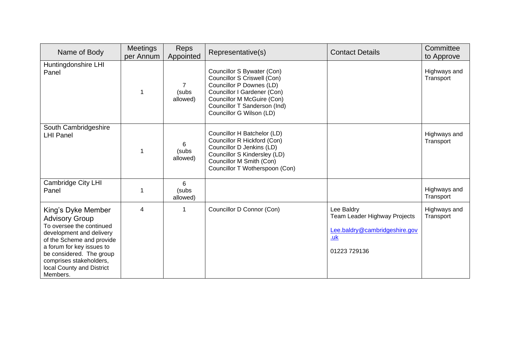| Name of Body                                                                                                                                                                                                                                                  | Meetings<br>per Annum | Reps<br>Appointed                   | Representative(s)                                                                                                                                                                                              | <b>Contact Details</b>                                                                                    | Committee<br>to Approve   |
|---------------------------------------------------------------------------------------------------------------------------------------------------------------------------------------------------------------------------------------------------------------|-----------------------|-------------------------------------|----------------------------------------------------------------------------------------------------------------------------------------------------------------------------------------------------------------|-----------------------------------------------------------------------------------------------------------|---------------------------|
| Huntingdonshire LHI<br>Panel                                                                                                                                                                                                                                  |                       | $\overline{7}$<br>(subs<br>allowed) | Councillor S Bywater (Con)<br>Councillor S Criswell (Con)<br>Councillor P Downes (LD)<br>Councillor I Gardener (Con)<br>Councillor M McGuire (Con)<br>Councillor T Sanderson (Ind)<br>Councillor G Wilson (LD) |                                                                                                           | Highways and<br>Transport |
| South Cambridgeshire<br><b>LHI Panel</b>                                                                                                                                                                                                                      |                       | 6<br>(subs<br>allowed)              | Councillor H Batchelor (LD)<br>Councillor R Hickford (Con)<br>Councillor D Jenkins (LD)<br>Councillor S Kindersley (LD)<br>Councillor M Smith (Con)<br>Councillor T Wotherspoon (Con)                          |                                                                                                           | Highways and<br>Transport |
| <b>Cambridge City LHI</b><br>Panel                                                                                                                                                                                                                            |                       | 6<br>(subs<br>allowed)              |                                                                                                                                                                                                                |                                                                                                           | Highways and<br>Transport |
| King's Dyke Member<br><b>Advisory Group</b><br>To oversee the continued<br>development and delivery<br>of the Scheme and provide<br>a forum for key issues to<br>be considered. The group<br>comprises stakeholders,<br>local County and District<br>Members. | 4                     | 1                                   | Councillor D Connor (Con)                                                                                                                                                                                      | Lee Baldry<br>Team Leader Highway Projects<br>Lee.baldry@cambridgeshire.gov<br><u>.uk</u><br>01223 729136 | Highways and<br>Transport |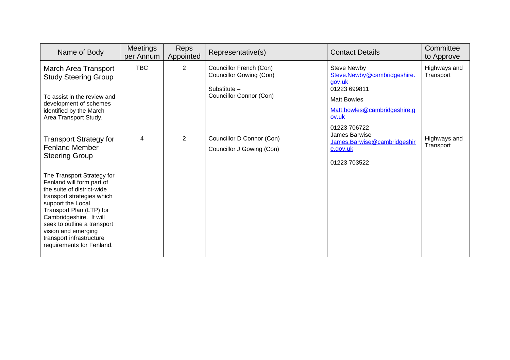| Name of Body                                                                                                                                                                                                                                                                                                                                                                                      | <b>Meetings</b><br>per Annum | <b>Reps</b><br>Appointed | Representative(s)                                                                                           | <b>Contact Details</b>                                                                                                                                     | Committee<br>to Approve   |
|---------------------------------------------------------------------------------------------------------------------------------------------------------------------------------------------------------------------------------------------------------------------------------------------------------------------------------------------------------------------------------------------------|------------------------------|--------------------------|-------------------------------------------------------------------------------------------------------------|------------------------------------------------------------------------------------------------------------------------------------------------------------|---------------------------|
| March Area Transport<br><b>Study Steering Group</b><br>To assist in the review and<br>development of schemes<br>identified by the March<br>Area Transport Study.                                                                                                                                                                                                                                  | <b>TBC</b>                   | $\overline{2}$           | Councillor French (Con)<br><b>Councillor Gowing (Con)</b><br>Substitute -<br><b>Councillor Connor (Con)</b> | <b>Steve Newby</b><br>Steve.Newby@cambridgeshire.<br>gov.uk<br>01223 699811<br><b>Matt Bowles</b><br>Matt.bowles@cambridgeshire.g<br>ov.uk<br>01223 706722 | Highways and<br>Transport |
| <b>Transport Strategy for</b><br><b>Fenland Member</b><br><b>Steering Group</b><br>The Transport Strategy for<br>Fenland will form part of<br>the suite of district-wide<br>transport strategies which<br>support the Local<br>Transport Plan (LTP) for<br>Cambridgeshire. It will<br>seek to outline a transport<br>vision and emerging<br>transport infrastructure<br>requirements for Fenland. | 4                            | $\overline{2}$           | Councillor D Connor (Con)<br>Councillor J Gowing (Con)                                                      | James Barwise<br>James.Barwise@cambridgeshir<br>e.gov.uk<br>01223 703522                                                                                   | Highways and<br>Transport |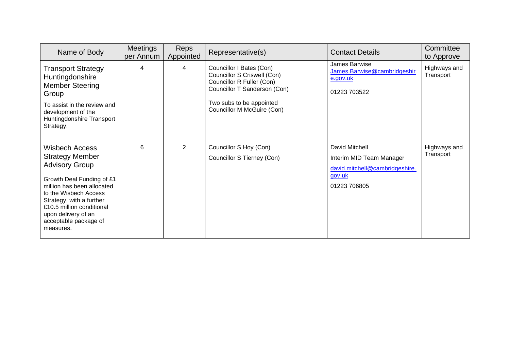| Name of Body                                                                                                                                                                                                                                                                       | Meetings<br>per Annum | Reps<br>Appointed | Representative(s)                                                                                                                                                              | <b>Contact Details</b>                                                                                 | Committee<br>to Approve   |
|------------------------------------------------------------------------------------------------------------------------------------------------------------------------------------------------------------------------------------------------------------------------------------|-----------------------|-------------------|--------------------------------------------------------------------------------------------------------------------------------------------------------------------------------|--------------------------------------------------------------------------------------------------------|---------------------------|
| <b>Transport Strategy</b><br>Huntingdonshire<br><b>Member Steering</b><br>Group<br>To assist in the review and<br>development of the<br>Huntingdonshire Transport<br>Strategy.                                                                                                     | 4                     | 4                 | Councillor I Bates (Con)<br>Councillor S Criswell (Con)<br>Councillor R Fuller (Con)<br>Councillor T Sanderson (Con)<br>Two subs to be appointed<br>Councillor M McGuire (Con) | James Barwise<br>James.Barwise@cambridgeshir<br>e.gov.uk<br>01223 703522                               | Highways and<br>Transport |
| <b>Wisbech Access</b><br><b>Strategy Member</b><br><b>Advisory Group</b><br>Growth Deal Funding of £1<br>million has been allocated<br>to the Wisbech Access<br>Strategy, with a further<br>£10.5 million conditional<br>upon delivery of an<br>acceptable package of<br>measures. | 6                     | $\overline{2}$    | Councillor S Hoy (Con)<br>Councillor S Tierney (Con)                                                                                                                           | David Mitchell<br>Interim MID Team Manager<br>david.mitchell@cambridgeshire.<br>gov.uk<br>01223 706805 | Highways and<br>Transport |